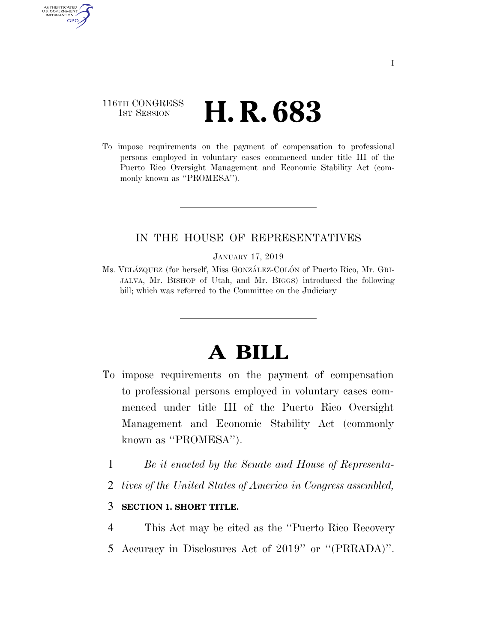## 116TH CONGRESS **1st Session H. R. 683**

AUTHENTICATED U.S. GOVERNMENT **GPO** 

> To impose requirements on the payment of compensation to professional persons employed in voluntary cases commenced under title III of the Puerto Rico Oversight Management and Economic Stability Act (commonly known as "PROMESA").

### IN THE HOUSE OF REPRESENTATIVES

#### JANUARY 17, 2019

Ms. VELA´ZQUEZ (for herself, Miss GONZA´LEZ-COLO´N of Puerto Rico, Mr. GRI-JALVA, Mr. BISHOP of Utah, and Mr. BIGGS) introduced the following bill; which was referred to the Committee on the Judiciary

# **A BILL**

- To impose requirements on the payment of compensation to professional persons employed in voluntary cases commenced under title III of the Puerto Rico Oversight Management and Economic Stability Act (commonly known as ''PROMESA'').
	- 1 *Be it enacted by the Senate and House of Representa-*
	- 2 *tives of the United States of America in Congress assembled,*

### 3 **SECTION 1. SHORT TITLE.**

- 4 This Act may be cited as the ''Puerto Rico Recovery
- 5 Accuracy in Disclosures Act of 2019'' or ''(PRRADA)''.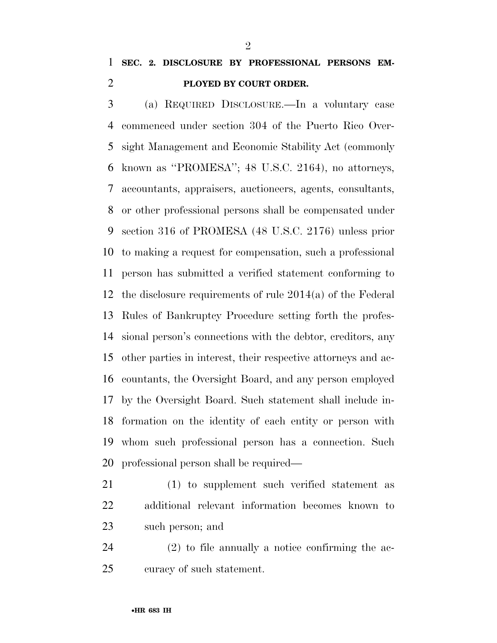# **SEC. 2. DISCLOSURE BY PROFESSIONAL PERSONS EM-PLOYED BY COURT ORDER.**

 (a) REQUIRED DISCLOSURE.—In a voluntary case commenced under section 304 of the Puerto Rico Over- sight Management and Economic Stability Act (commonly known as ''PROMESA''; 48 U.S.C. 2164), no attorneys, accountants, appraisers, auctioneers, agents, consultants, or other professional persons shall be compensated under section 316 of PROMESA (48 U.S.C. 2176) unless prior to making a request for compensation, such a professional person has submitted a verified statement conforming to the disclosure requirements of rule 2014(a) of the Federal Rules of Bankruptcy Procedure setting forth the profes- sional person's connections with the debtor, creditors, any other parties in interest, their respective attorneys and ac- countants, the Oversight Board, and any person employed by the Oversight Board. Such statement shall include in- formation on the identity of each entity or person with whom such professional person has a connection. Such professional person shall be required—

- (1) to supplement such verified statement as additional relevant information becomes known to such person; and
- (2) to file annually a notice confirming the ac-curacy of such statement.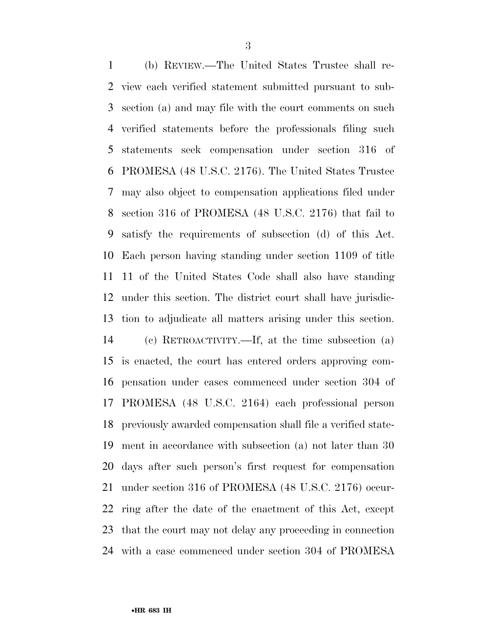(b) REVIEW.—The United States Trustee shall re- view each verified statement submitted pursuant to sub- section (a) and may file with the court comments on such verified statements before the professionals filing such statements seek compensation under section 316 of PROMESA (48 U.S.C. 2176). The United States Trustee may also object to compensation applications filed under section 316 of PROMESA (48 U.S.C. 2176) that fail to satisfy the requirements of subsection (d) of this Act. Each person having standing under section 1109 of title 11 of the United States Code shall also have standing under this section. The district court shall have jurisdic- tion to adjudicate all matters arising under this section. (c) RETROACTIVITY.—If, at the time subsection (a) is enacted, the court has entered orders approving com- pensation under cases commenced under section 304 of PROMESA (48 U.S.C. 2164) each professional person previously awarded compensation shall file a verified state- ment in accordance with subsection (a) not later than 30 days after such person's first request for compensation under section 316 of PROMESA (48 U.S.C. 2176) occur-ring after the date of the enactment of this Act, except

with a case commenced under section 304 of PROMESA

that the court may not delay any proceeding in connection